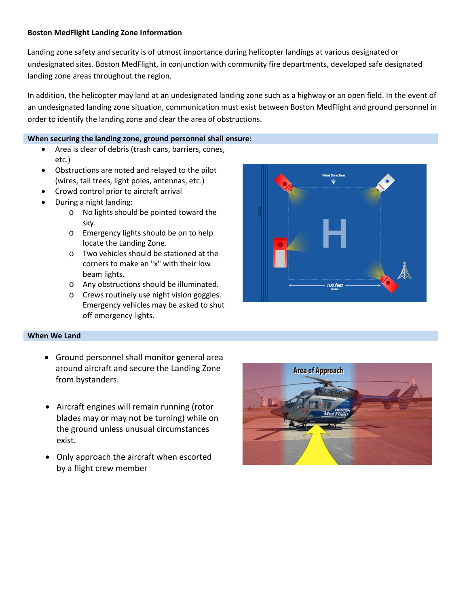## **Boston MedFlight Landing Zone Information**

Landing zone safety and security is of utmost importance during helicopter landings at various designated or undesignated sites. Boston MedFlight, in conjunction with community fire departments, developed safe designated landing zone areas throughout the region.

In addition, the helicopter may land at an undesignated landing zone such as a highway or an open field. In the event of an undesignated landing zone situation, communication must exist between Boston MedFlight and ground personnel in order to identify the landing zone and clear the area of obstructions.

## **When securing the landing zone, ground personnel shall ensure:**

- Area is clear of debris (trash cans, barriers, cones, etc.)
- Obstructions are noted and relayed to the pilot (wires, tall trees, light poles, antennas, etc.)
- Crowd control prior to aircraft arrival
- During a night landing:
	- o No lights should be pointed toward the sky.
	- o Emergency lights should be on to help locate the Landing Zone.
	- o Two vehicles should be stationed at the corners to make an "x" with their low beam lights.
	- o Any obstructions should be illuminated.
	- o Crews routinely use night vision goggles. Emergency vehicles may be asked to shut off emergency lights.



## **When We Land**

- Ground personnel shall monitor general area around aircraft and secure the Landing Zone from bystanders.
- Aircraft engines will remain running (rotor blades may or may not be turning) while on the ground unless unusual circumstances exist.
- Only approach the aircraft when escorted by a flight crew member